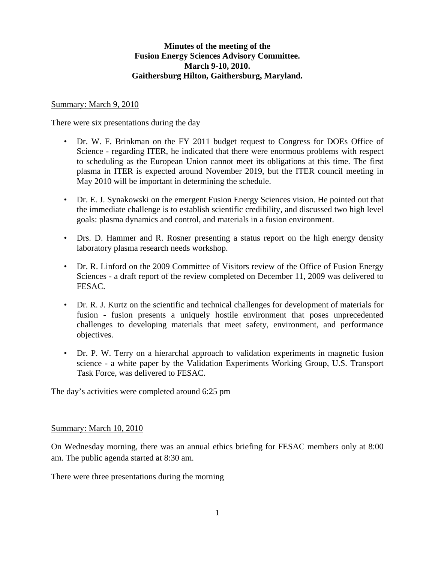# **Minutes of the meeting of the Fusion Energy Sciences Advisory Committee. March 9-10, 2010. Gaithersburg Hilton, Gaithersburg, Maryland.**

#### Summary: March 9, 2010

There were six presentations during the day

- Dr. W. F. Brinkman on the FY 2011 budget request to Congress for DOEs Office of Science - regarding ITER, he indicated that there were enormous problems with respect to scheduling as the European Union cannot meet its obligations at this time. The first plasma in ITER is expected around November 2019, but the ITER council meeting in May 2010 will be important in determining the schedule.
- Dr. E. J. Synakowski on the emergent Fusion Energy Sciences vision. He pointed out that the immediate challenge is to establish scientific credibility, and discussed two high level goals: plasma dynamics and control, and materials in a fusion environment.
- Drs. D. Hammer and R. Rosner presenting a status report on the high energy density laboratory plasma research needs workshop.
- Dr. R. Linford on the 2009 Committee of Visitors review of the Office of Fusion Energy Sciences - a draft report of the review completed on December 11, 2009 was delivered to FESAC.
- Dr. R. J. Kurtz on the scientific and technical challenges for development of materials for fusion - fusion presents a uniquely hostile environment that poses unprecedented challenges to developing materials that meet safety, environment, and performance objectives.
- Dr. P. W. Terry on a hierarchal approach to validation experiments in magnetic fusion science - a white paper by the Validation Experiments Working Group, U.S. Transport Task Force, was delivered to FESAC.

The day's activities were completed around 6:25 pm

#### Summary: March 10, 2010

On Wednesday morning, there was an annual ethics briefing for FESAC members only at 8:00 am. The public agenda started at 8:30 am.

There were three presentations during the morning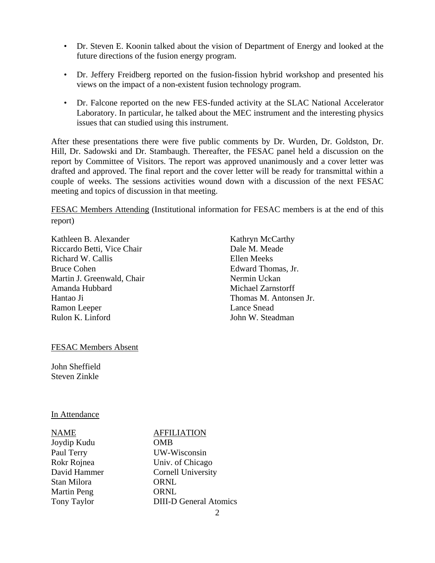- Dr. Steven E. Koonin talked about the vision of Department of Energy and looked at the future directions of the fusion energy program.
- Dr. Jeffery Freidberg reported on the fusion-fission hybrid workshop and presented his views on the impact of a non-existent fusion technology program.
- Dr. Falcone reported on the new FES-funded activity at the SLAC National Accelerator Laboratory. In particular, he talked about the MEC instrument and the interesting physics issues that can studied using this instrument.

After these presentations there were five public comments by Dr. Wurden, Dr. Goldston, Dr. Hill, Dr. Sadowski and Dr. Stambaugh. Thereafter, the FESAC panel held a discussion on the report by Committee of Visitors. The report was approved unanimously and a cover letter was drafted and approved. The final report and the cover letter will be ready for transmittal within a couple of weeks. The sessions activities wound down with a discussion of the next FESAC meeting and topics of discussion in that meeting.

FESAC Members Attending (Institutional information for FESAC members is at the end of this report)

Kathleen B. Alexander Riccardo Betti, Vice Chair Richard W. Callis Bruce Cohen Martin J. Greenwald, Chair Amanda Hubbard Hantao Ji Ramon Leeper Rulon K. Linford

Kathryn McCarthy Dale M. Meade Ellen Meeks Edward Thomas, Jr. Nermin Uckan Michael Zarnstorff Thomas M. Antonsen Jr. Lance Snead John W. Steadman

## FESAC Members Absent

John Sheffield Steven Zinkle

#### In Attendance

# NAME AFFILIATION

Joydip Kudu OMB Stan Milora **ORNL** Martin Peng **ORNL** 

Paul Terry UW-Wisconsin Rokr Rojnea Univ. of Chicago David Hammer Cornell University Tony Taylor DIII-D General Atomics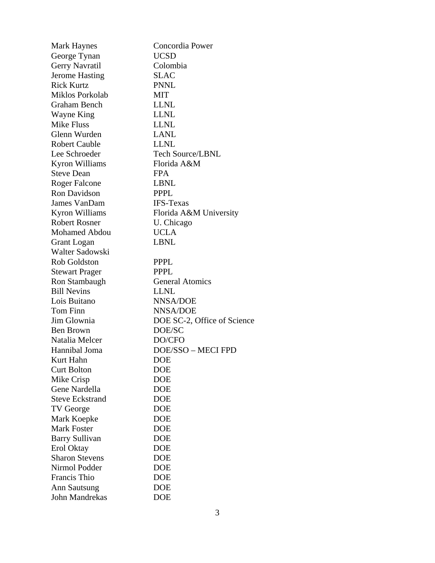| <b>Mark Haynes</b>     | Concordia Power             |
|------------------------|-----------------------------|
| George Tynan           | <b>UCSD</b>                 |
| Gerry Navratil         | Colombia                    |
| <b>Jerome Hasting</b>  | SLAC                        |
| <b>Rick Kurtz</b>      | <b>PNNL</b>                 |
| Miklos Porkolab        | MIT                         |
| <b>Graham Bench</b>    | <b>LLNL</b>                 |
| Wayne King             | <b>LLNL</b>                 |
| <b>Mike Fluss</b>      | <b>LLNL</b>                 |
| Glenn Wurden           | <b>LANL</b>                 |
| <b>Robert Cauble</b>   | <b>LLNL</b>                 |
| Lee Schroeder          | <b>Tech Source/LBNL</b>     |
| Kyron Williams         | Florida A&M                 |
| <b>Steve Dean</b>      | <b>FPA</b>                  |
| <b>Roger Falcone</b>   | <b>LBNL</b>                 |
| Ron Davidson           | <b>PPPL</b>                 |
| James VanDam           | <b>IFS-Texas</b>            |
| Kyron Williams         | Florida A&M University      |
| <b>Robert Rosner</b>   | U. Chicago                  |
| <b>Mohamed Abdou</b>   | <b>UCLA</b>                 |
| Grant Logan            | <b>LBNL</b>                 |
| Walter Sadowski        |                             |
| Rob Goldston           | <b>PPPL</b>                 |
| <b>Stewart Prager</b>  | <b>PPPL</b>                 |
| Ron Stambaugh          | <b>General Atomics</b>      |
| <b>Bill Nevins</b>     | <b>LLNL</b>                 |
| Lois Buitano           | <b>NNSA/DOE</b>             |
| Tom Finn               | NNSA/DOE                    |
| Jim Glownia            | DOE SC-2, Office of Science |
| Ben Brown              | DOE/SC                      |
| Natalia Melcer         | DO/CFO                      |
| Hannibal Joma          | DOE/SSO - MECI FPD          |
| Kurt Hahn              | DOE                         |
| <b>Curt Bolton</b>     | <b>DOE</b>                  |
| Mike Crisp             | <b>DOE</b>                  |
| Gene Nardella          | <b>DOE</b>                  |
| <b>Steve Eckstrand</b> | <b>DOE</b>                  |
| <b>TV George</b>       | <b>DOE</b>                  |
| Mark Koepke            | <b>DOE</b>                  |
| <b>Mark Foster</b>     | <b>DOE</b>                  |
| <b>Barry Sullivan</b>  | <b>DOE</b>                  |
| Erol Oktay             | <b>DOE</b>                  |
| <b>Sharon Stevens</b>  | <b>DOE</b>                  |
| Nirmol Podder          | <b>DOE</b>                  |
| Francis Thio           | <b>DOE</b>                  |
| <b>Ann Sautsung</b>    | <b>DOE</b>                  |
| John Mandrekas         | <b>DOE</b>                  |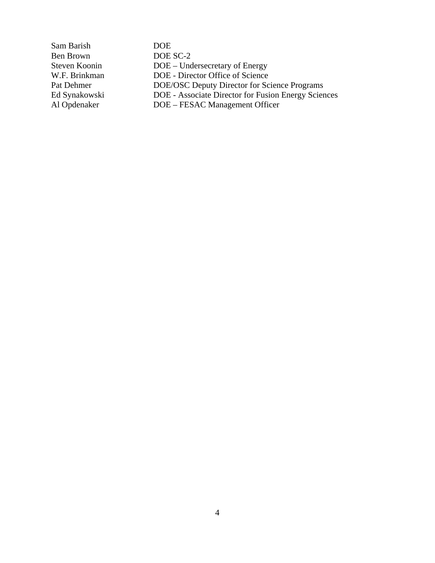| Sam Barish    | DOE.                                                |
|---------------|-----------------------------------------------------|
| Ben Brown     | DOE SC-2                                            |
| Steven Koonin | DOE – Undersecretary of Energy                      |
| W.F. Brinkman | DOE - Director Office of Science                    |
| Pat Dehmer    | <b>DOE/OSC Deputy Director for Science Programs</b> |
| Ed Synakowski | DOE - Associate Director for Fusion Energy Sciences |
| Al Opdenaker  | DOE – FESAC Management Officer                      |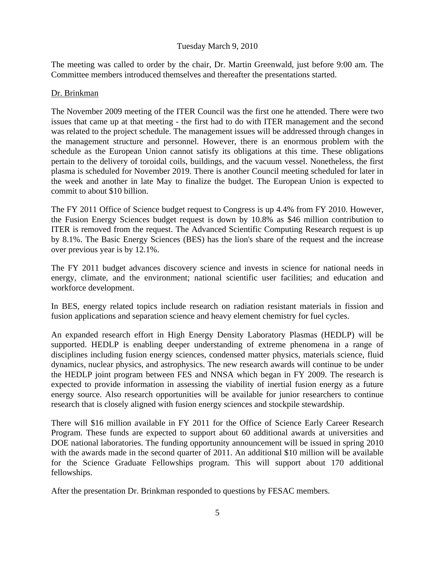## Tuesday March 9, 2010

The meeting was called to order by the chair, Dr. Martin Greenwald, just before 9:00 am. The Committee members introduced themselves and thereafter the presentations started.

## Dr. Brinkman

The November 2009 meeting of the ITER Council was the first one he attended. There were two issues that came up at that meeting - the first had to do with ITER management and the second was related to the project schedule. The management issues will be addressed through changes in the management structure and personnel. However, there is an enormous problem with the schedule as the European Union cannot satisfy its obligations at this time. These obligations pertain to the delivery of toroidal coils, buildings, and the vacuum vessel. Nonetheless, the first plasma is scheduled for November 2019. There is another Council meeting scheduled for later in the week and another in late May to finalize the budget. The European Union is expected to commit to about \$10 billion.

The FY 2011 Office of Science budget request to Congress is up 4.4% from FY 2010. However, the Fusion Energy Sciences budget request is down by 10.8% as \$46 million contribution to ITER is removed from the request. The Advanced Scientific Computing Research request is up by 8.1%. The Basic Energy Sciences (BES) has the lion's share of the request and the increase over previous year is by 12.1%.

The FY 2011 budget advances discovery science and invests in science for national needs in energy, climate, and the environment; national scientific user facilities; and education and workforce development.

In BES, energy related topics include research on radiation resistant materials in fission and fusion applications and separation science and heavy element chemistry for fuel cycles.

An expanded research effort in High Energy Density Laboratory Plasmas (HEDLP) will be supported. HEDLP is enabling deeper understanding of extreme phenomena in a range of disciplines including fusion energy sciences, condensed matter physics, materials science, fluid dynamics, nuclear physics, and astrophysics. The new research awards will continue to be under the HEDLP joint program between FES and NNSA which began in FY 2009. The research is expected to provide information in assessing the viability of inertial fusion energy as a future energy source. Also research opportunities will be available for junior researchers to continue research that is closely aligned with fusion energy sciences and stockpile stewardship.

There will \$16 million available in FY 2011 for the Office of Science Early Career Research Program. These funds are expected to support about 60 additional awards at universities and DOE national laboratories. The funding opportunity announcement will be issued in spring 2010 with the awards made in the second quarter of 2011. An additional \$10 million will be available for the Science Graduate Fellowships program. This will support about 170 additional fellowships.

After the presentation Dr. Brinkman responded to questions by FESAC members.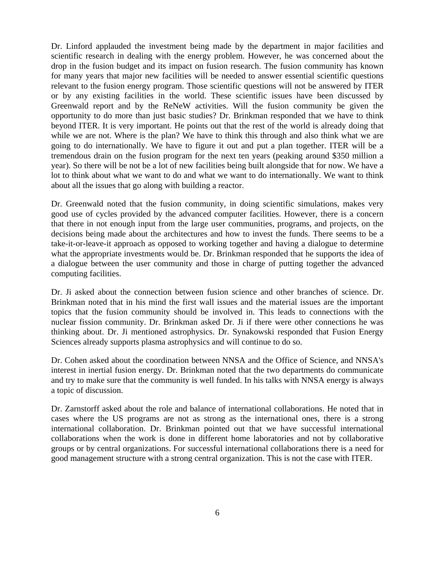Dr. Linford applauded the investment being made by the department in major facilities and scientific research in dealing with the energy problem. However, he was concerned about the drop in the fusion budget and its impact on fusion research. The fusion community has known for many years that major new facilities will be needed to answer essential scientific questions relevant to the fusion energy program. Those scientific questions will not be answered by ITER or by any existing facilities in the world. These scientific issues have been discussed by Greenwald report and by the ReNeW activities. Will the fusion community be given the opportunity to do more than just basic studies? Dr. Brinkman responded that we have to think beyond ITER. It is very important. He points out that the rest of the world is already doing that while we are not. Where is the plan? We have to think this through and also think what we are going to do internationally. We have to figure it out and put a plan together. ITER will be a tremendous drain on the fusion program for the next ten years (peaking around \$350 million a year). So there will be not be a lot of new facilities being built alongside that for now. We have a lot to think about what we want to do and what we want to do internationally. We want to think about all the issues that go along with building a reactor.

Dr. Greenwald noted that the fusion community, in doing scientific simulations, makes very good use of cycles provided by the advanced computer facilities. However, there is a concern that there in not enough input from the large user communities, programs, and projects, on the decisions being made about the architectures and how to invest the funds. There seems to be a take-it-or-leave-it approach as opposed to working together and having a dialogue to determine what the appropriate investments would be. Dr. Brinkman responded that he supports the idea of a dialogue between the user community and those in charge of putting together the advanced computing facilities.

Dr. Ji asked about the connection between fusion science and other branches of science. Dr. Brinkman noted that in his mind the first wall issues and the material issues are the important topics that the fusion community should be involved in. This leads to connections with the nuclear fission community. Dr. Brinkman asked Dr. Ji if there were other connections he was thinking about. Dr. Ji mentioned astrophysics. Dr. Synakowski responded that Fusion Energy Sciences already supports plasma astrophysics and will continue to do so.

Dr. Cohen asked about the coordination between NNSA and the Office of Science, and NNSA's interest in inertial fusion energy. Dr. Brinkman noted that the two departments do communicate and try to make sure that the community is well funded. In his talks with NNSA energy is always a topic of discussion.

Dr. Zarnstorff asked about the role and balance of international collaborations. He noted that in cases where the US programs are not as strong as the international ones, there is a strong international collaboration. Dr. Brinkman pointed out that we have successful international collaborations when the work is done in different home laboratories and not by collaborative groups or by central organizations. For successful international collaborations there is a need for good management structure with a strong central organization. This is not the case with ITER.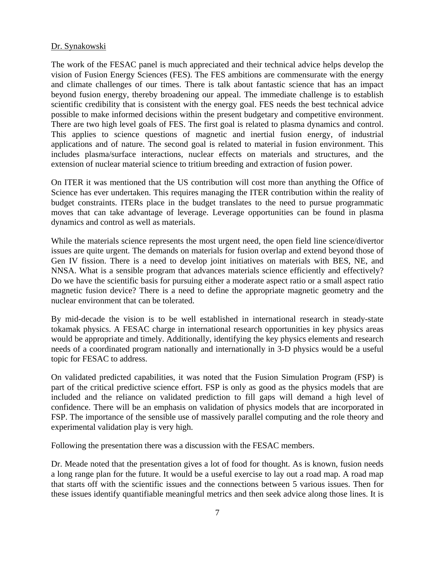#### Dr. Synakowski

The work of the FESAC panel is much appreciated and their technical advice helps develop the vision of Fusion Energy Sciences (FES). The FES ambitions are commensurate with the energy and climate challenges of our times. There is talk about fantastic science that has an impact beyond fusion energy, thereby broadening our appeal. The immediate challenge is to establish scientific credibility that is consistent with the energy goal. FES needs the best technical advice possible to make informed decisions within the present budgetary and competitive environment. There are two high level goals of FES. The first goal is related to plasma dynamics and control. This applies to science questions of magnetic and inertial fusion energy, of industrial applications and of nature. The second goal is related to material in fusion environment. This includes plasma/surface interactions, nuclear effects on materials and structures, and the extension of nuclear material science to tritium breeding and extraction of fusion power.

On ITER it was mentioned that the US contribution will cost more than anything the Office of Science has ever undertaken. This requires managing the ITER contribution within the reality of budget constraints. ITERs place in the budget translates to the need to pursue programmatic moves that can take advantage of leverage. Leverage opportunities can be found in plasma dynamics and control as well as materials.

While the materials science represents the most urgent need, the open field line science/divertor issues are quite urgent. The demands on materials for fusion overlap and extend beyond those of Gen IV fission. There is a need to develop joint initiatives on materials with BES, NE, and NNSA. What is a sensible program that advances materials science efficiently and effectively? Do we have the scientific basis for pursuing either a moderate aspect ratio or a small aspect ratio magnetic fusion device? There is a need to define the appropriate magnetic geometry and the nuclear environment that can be tolerated.

By mid-decade the vision is to be well established in international research in steady-state tokamak physics. A FESAC charge in international research opportunities in key physics areas would be appropriate and timely. Additionally, identifying the key physics elements and research needs of a coordinated program nationally and internationally in 3-D physics would be a useful topic for FESAC to address.

On validated predicted capabilities, it was noted that the Fusion Simulation Program (FSP) is part of the critical predictive science effort. FSP is only as good as the physics models that are included and the reliance on validated prediction to fill gaps will demand a high level of confidence. There will be an emphasis on validation of physics models that are incorporated in FSP. The importance of the sensible use of massively parallel computing and the role theory and experimental validation play is very high.

Following the presentation there was a discussion with the FESAC members.

Dr. Meade noted that the presentation gives a lot of food for thought. As is known, fusion needs a long range plan for the future. It would be a useful exercise to lay out a road map. A road map that starts off with the scientific issues and the connections between 5 various issues. Then for these issues identify quantifiable meaningful metrics and then seek advice along those lines. It is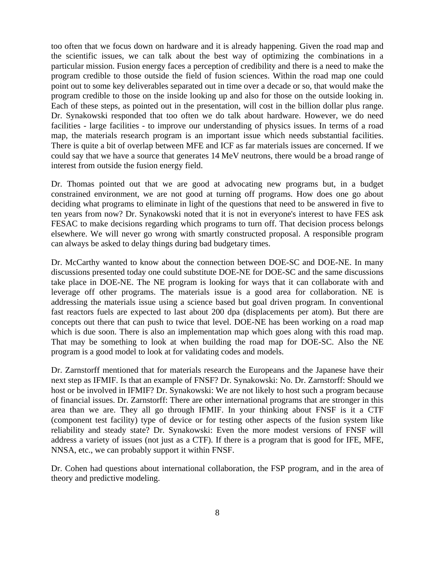too often that we focus down on hardware and it is already happening. Given the road map and the scientific issues, we can talk about the best way of optimizing the combinations in a particular mission. Fusion energy faces a perception of credibility and there is a need to make the program credible to those outside the field of fusion sciences. Within the road map one could point out to some key deliverables separated out in time over a decade or so, that would make the program credible to those on the inside looking up and also for those on the outside looking in. Each of these steps, as pointed out in the presentation, will cost in the billion dollar plus range. Dr. Synakowski responded that too often we do talk about hardware. However, we do need facilities - large facilities - to improve our understanding of physics issues. In terms of a road map, the materials research program is an important issue which needs substantial facilities. There is quite a bit of overlap between MFE and ICF as far materials issues are concerned. If we could say that we have a source that generates 14 MeV neutrons, there would be a broad range of interest from outside the fusion energy field.

Dr. Thomas pointed out that we are good at advocating new programs but, in a budget constrained environment, we are not good at turning off programs. How does one go about deciding what programs to eliminate in light of the questions that need to be answered in five to ten years from now? Dr. Synakowski noted that it is not in everyone's interest to have FES ask FESAC to make decisions regarding which programs to turn off. That decision process belongs elsewhere. We will never go wrong with smartly constructed proposal. A responsible program can always be asked to delay things during bad budgetary times.

Dr. McCarthy wanted to know about the connection between DOE-SC and DOE-NE. In many discussions presented today one could substitute DOE-NE for DOE-SC and the same discussions take place in DOE-NE. The NE program is looking for ways that it can collaborate with and leverage off other programs. The materials issue is a good area for collaboration. NE is addressing the materials issue using a science based but goal driven program. In conventional fast reactors fuels are expected to last about 200 dpa (displacements per atom). But there are concepts out there that can push to twice that level. DOE-NE has been working on a road map which is due soon. There is also an implementation map which goes along with this road map. That may be something to look at when building the road map for DOE-SC. Also the NE program is a good model to look at for validating codes and models.

Dr. Zarnstorff mentioned that for materials research the Europeans and the Japanese have their next step as IFMIF. Is that an example of FNSF? Dr. Synakowski: No. Dr. Zarnstorff: Should we host or be involved in IFMIF? Dr. Synakowski: We are not likely to host such a program because of financial issues. Dr. Zarnstorff: There are other international programs that are stronger in this area than we are. They all go through IFMIF. In your thinking about FNSF is it a CTF (component test facility) type of device or for testing other aspects of the fusion system like reliability and steady state? Dr. Synakowski: Even the more modest versions of FNSF will address a variety of issues (not just as a CTF). If there is a program that is good for IFE, MFE, NNSA, etc., we can probably support it within FNSF.

Dr. Cohen had questions about international collaboration, the FSP program, and in the area of theory and predictive modeling.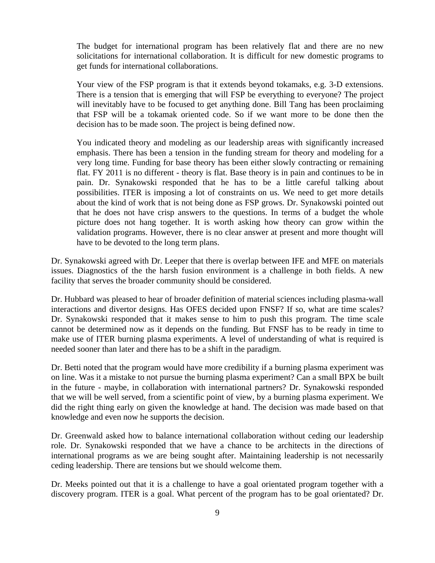The budget for international program has been relatively flat and there are no new solicitations for international collaboration. It is difficult for new domestic programs to get funds for international collaborations.

Your view of the FSP program is that it extends beyond tokamaks, e.g. 3-D extensions. There is a tension that is emerging that will FSP be everything to everyone? The project will inevitably have to be focused to get anything done. Bill Tang has been proclaiming that FSP will be a tokamak oriented code. So if we want more to be done then the decision has to be made soon. The project is being defined now.

You indicated theory and modeling as our leadership areas with significantly increased emphasis. There has been a tension in the funding stream for theory and modeling for a very long time. Funding for base theory has been either slowly contracting or remaining flat. FY 2011 is no different - theory is flat. Base theory is in pain and continues to be in pain. Dr. Synakowski responded that he has to be a little careful talking about possibilities. ITER is imposing a lot of constraints on us. We need to get more details about the kind of work that is not being done as FSP grows. Dr. Synakowski pointed out that he does not have crisp answers to the questions. In terms of a budget the whole picture does not hang together. It is worth asking how theory can grow within the validation programs. However, there is no clear answer at present and more thought will have to be devoted to the long term plans.

Dr. Synakowski agreed with Dr. Leeper that there is overlap between IFE and MFE on materials issues. Diagnostics of the the harsh fusion environment is a challenge in both fields. A new facility that serves the broader community should be considered.

Dr. Hubbard was pleased to hear of broader definition of material sciences including plasma-wall interactions and divertor designs. Has OFES decided upon FNSF? If so, what are time scales? Dr. Synakowski responded that it makes sense to him to push this program. The time scale cannot be determined now as it depends on the funding. But FNSF has to be ready in time to make use of ITER burning plasma experiments. A level of understanding of what is required is needed sooner than later and there has to be a shift in the paradigm.

Dr. Betti noted that the program would have more credibility if a burning plasma experiment was on line. Was it a mistake to not pursue the burning plasma experiment? Can a small BPX be built in the future - maybe, in collaboration with international partners? Dr. Synakowski responded that we will be well served, from a scientific point of view, by a burning plasma experiment. We did the right thing early on given the knowledge at hand. The decision was made based on that knowledge and even now he supports the decision.

Dr. Greenwald asked how to balance international collaboration without ceding our leadership role. Dr. Synakowski responded that we have a chance to be architects in the directions of international programs as we are being sought after. Maintaining leadership is not necessarily ceding leadership. There are tensions but we should welcome them.

Dr. Meeks pointed out that it is a challenge to have a goal orientated program together with a discovery program. ITER is a goal. What percent of the program has to be goal orientated? Dr.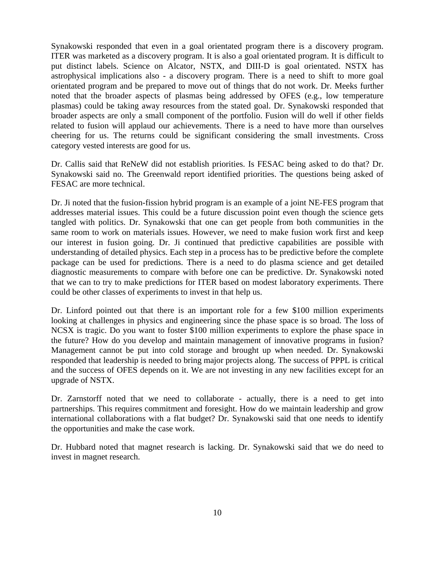Synakowski responded that even in a goal orientated program there is a discovery program. ITER was marketed as a discovery program. It is also a goal orientated program. It is difficult to put distinct labels. Science on Alcator, NSTX, and DIII-D is goal orientated. NSTX has astrophysical implications also - a discovery program. There is a need to shift to more goal orientated program and be prepared to move out of things that do not work. Dr. Meeks further noted that the broader aspects of plasmas being addressed by OFES (e.g., low temperature plasmas) could be taking away resources from the stated goal. Dr. Synakowski responded that broader aspects are only a small component of the portfolio. Fusion will do well if other fields related to fusion will applaud our achievements. There is a need to have more than ourselves cheering for us. The returns could be significant considering the small investments. Cross category vested interests are good for us.

Dr. Callis said that ReNeW did not establish priorities. Is FESAC being asked to do that? Dr. Synakowski said no. The Greenwald report identified priorities. The questions being asked of FESAC are more technical.

Dr. Ji noted that the fusion-fission hybrid program is an example of a joint NE-FES program that addresses material issues. This could be a future discussion point even though the science gets tangled with politics. Dr. Synakowski that one can get people from both communities in the same room to work on materials issues. However, we need to make fusion work first and keep our interest in fusion going. Dr. Ji continued that predictive capabilities are possible with understanding of detailed physics. Each step in a process has to be predictive before the complete package can be used for predictions. There is a need to do plasma science and get detailed diagnostic measurements to compare with before one can be predictive. Dr. Synakowski noted that we can to try to make predictions for ITER based on modest laboratory experiments. There could be other classes of experiments to invest in that help us.

Dr. Linford pointed out that there is an important role for a few \$100 million experiments looking at challenges in physics and engineering since the phase space is so broad. The loss of NCSX is tragic. Do you want to foster \$100 million experiments to explore the phase space in the future? How do you develop and maintain management of innovative programs in fusion? Management cannot be put into cold storage and brought up when needed. Dr. Synakowski responded that leadership is needed to bring major projects along. The success of PPPL is critical and the success of OFES depends on it. We are not investing in any new facilities except for an upgrade of NSTX.

Dr. Zarnstorff noted that we need to collaborate - actually, there is a need to get into partnerships. This requires commitment and foresight. How do we maintain leadership and grow international collaborations with a flat budget? Dr. Synakowski said that one needs to identify the opportunities and make the case work.

Dr. Hubbard noted that magnet research is lacking. Dr. Synakowski said that we do need to invest in magnet research.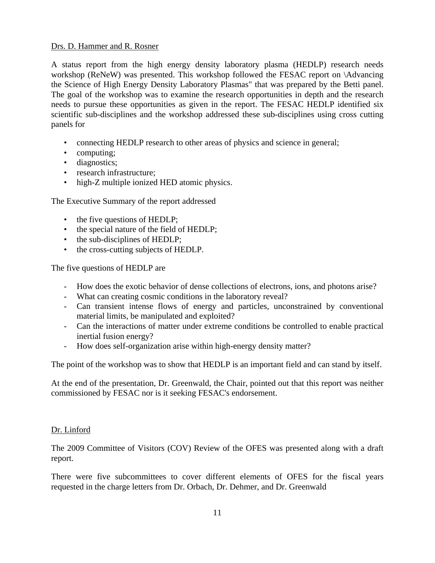#### Drs. D. Hammer and R. Rosner

A status report from the high energy density laboratory plasma (HEDLP) research needs workshop (ReNeW) was presented. This workshop followed the FESAC report on \Advancing the Science of High Energy Density Laboratory Plasmas" that was prepared by the Betti panel. The goal of the workshop was to examine the research opportunities in depth and the research needs to pursue these opportunities as given in the report. The FESAC HEDLP identified six scientific sub-disciplines and the workshop addressed these sub-disciplines using cross cutting panels for

- connecting HEDLP research to other areas of physics and science in general;
- computing;
- diagnostics;
- research infrastructure;
- high-Z multiple ionized HED atomic physics.

The Executive Summary of the report addressed

- the five questions of HEDLP;
- the special nature of the field of HEDLP;
- the sub-disciplines of HEDLP;
- the cross-cutting subjects of HEDLP.

The five questions of HEDLP are

- How does the exotic behavior of dense collections of electrons, ions, and photons arise?
- What can creating cosmic conditions in the laboratory reveal?
- Can transient intense flows of energy and particles, unconstrained by conventional material limits, be manipulated and exploited?
- Can the interactions of matter under extreme conditions be controlled to enable practical inertial fusion energy?
- How does self-organization arise within high-energy density matter?

The point of the workshop was to show that HEDLP is an important field and can stand by itself.

At the end of the presentation, Dr. Greenwald, the Chair, pointed out that this report was neither commissioned by FESAC nor is it seeking FESAC's endorsement.

## Dr. Linford

The 2009 Committee of Visitors (COV) Review of the OFES was presented along with a draft report.

There were five subcommittees to cover different elements of OFES for the fiscal years requested in the charge letters from Dr. Orbach, Dr. Dehmer, and Dr. Greenwald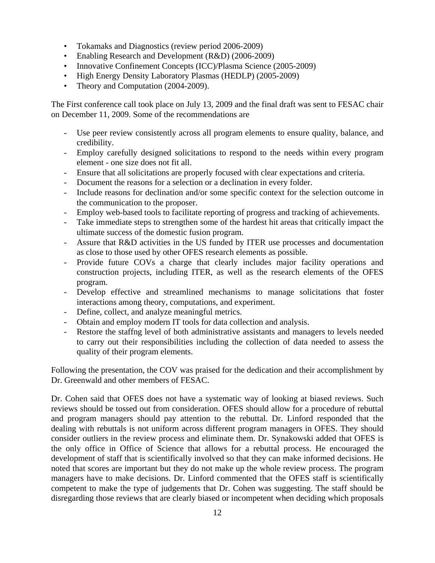- Tokamaks and Diagnostics (review period 2006-2009)
- Enabling Research and Development (R&D) (2006-2009)
- Innovative Confinement Concepts (ICC)/Plasma Science (2005-2009)
- High Energy Density Laboratory Plasmas (HEDLP) (2005-2009)
- Theory and Computation (2004-2009).

The First conference call took place on July 13, 2009 and the final draft was sent to FESAC chair on December 11, 2009. Some of the recommendations are

- Use peer review consistently across all program elements to ensure quality, balance, and credibility.
- Employ carefully designed solicitations to respond to the needs within every program element - one size does not fit all.
- Ensure that all solicitations are properly focused with clear expectations and criteria.
- Document the reasons for a selection or a declination in every folder.
- Include reasons for declination and/or some specific context for the selection outcome in the communication to the proposer.
- Employ web-based tools to facilitate reporting of progress and tracking of achievements.
- Take immediate steps to strengthen some of the hardest hit areas that critically impact the ultimate success of the domestic fusion program.
- Assure that R&D activities in the US funded by ITER use processes and documentation as close to those used by other OFES research elements as possible.
- Provide future COVs a charge that clearly includes major facility operations and construction projects, including ITER, as well as the research elements of the OFES program.
- Develop effective and streamlined mechanisms to manage solicitations that foster interactions among theory, computations, and experiment.
- Define, collect, and analyze meaningful metrics.
- Obtain and employ modern IT tools for data collection and analysis.
- Restore the staffng level of both administrative assistants and managers to levels needed to carry out their responsibilities including the collection of data needed to assess the quality of their program elements.

Following the presentation, the COV was praised for the dedication and their accomplishment by Dr. Greenwald and other members of FESAC.

Dr. Cohen said that OFES does not have a systematic way of looking at biased reviews. Such reviews should be tossed out from consideration. OFES should allow for a procedure of rebuttal and program managers should pay attention to the rebuttal. Dr. Linford responded that the dealing with rebuttals is not uniform across different program managers in OFES. They should consider outliers in the review process and eliminate them. Dr. Synakowski added that OFES is the only office in Office of Science that allows for a rebuttal process. He encouraged the development of staff that is scientifically involved so that they can make informed decisions. He noted that scores are important but they do not make up the whole review process. The program managers have to make decisions. Dr. Linford commented that the OFES staff is scientifically competent to make the type of judgements that Dr. Cohen was suggesting. The staff should be disregarding those reviews that are clearly biased or incompetent when deciding which proposals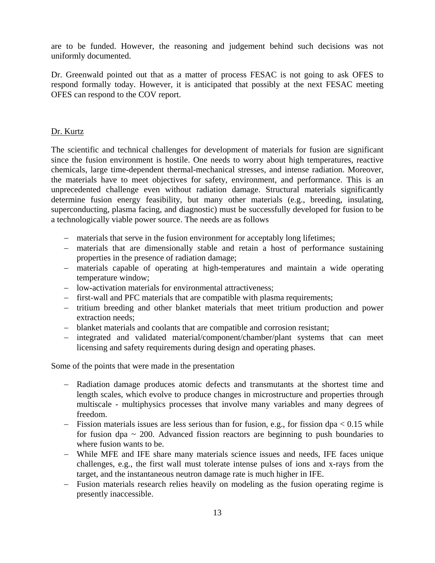are to be funded. However, the reasoning and judgement behind such decisions was not uniformly documented.

Dr. Greenwald pointed out that as a matter of process FESAC is not going to ask OFES to respond formally today. However, it is anticipated that possibly at the next FESAC meeting OFES can respond to the COV report.

## Dr. Kurtz

The scientific and technical challenges for development of materials for fusion are significant since the fusion environment is hostile. One needs to worry about high temperatures, reactive chemicals, large time-dependent thermal-mechanical stresses, and intense radiation. Moreover, the materials have to meet objectives for safety, environment, and performance. This is an unprecedented challenge even without radiation damage. Structural materials significantly determine fusion energy feasibility, but many other materials (e.g., breeding, insulating, superconducting, plasma facing, and diagnostic) must be successfully developed for fusion to be a technologically viable power source. The needs are as follows

- − materials that serve in the fusion environment for acceptably long lifetimes;
- − materials that are dimensionally stable and retain a host of performance sustaining properties in the presence of radiation damage;
- − materials capable of operating at high-temperatures and maintain a wide operating temperature window;
- − low-activation materials for environmental attractiveness;
- − first-wall and PFC materials that are compatible with plasma requirements;
- − tritium breeding and other blanket materials that meet tritium production and power extraction needs;
- − blanket materials and coolants that are compatible and corrosion resistant;
- − integrated and validated material/component/chamber/plant systems that can meet licensing and safety requirements during design and operating phases.

Some of the points that were made in the presentation

- − Radiation damage produces atomic defects and transmutants at the shortest time and length scales, which evolve to produce changes in microstructure and properties through multiscale - multiphysics processes that involve many variables and many degrees of freedom.
- − Fission materials issues are less serious than for fusion, e.g., for fission dpa < 0.15 while for fusion dpa  $\sim$  200. Advanced fission reactors are beginning to push boundaries to where fusion wants to be.
- − While MFE and IFE share many materials science issues and needs, IFE faces unique challenges, e.g., the first wall must tolerate intense pulses of ions and x-rays from the target, and the instantaneous neutron damage rate is much higher in IFE.
- − Fusion materials research relies heavily on modeling as the fusion operating regime is presently inaccessible.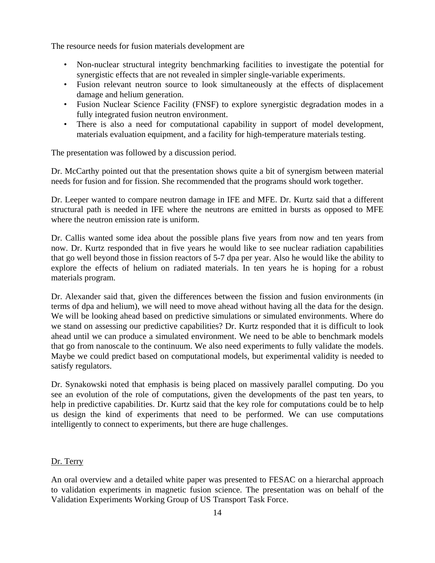The resource needs for fusion materials development are

- Non-nuclear structural integrity benchmarking facilities to investigate the potential for synergistic effects that are not revealed in simpler single-variable experiments.
- Fusion relevant neutron source to look simultaneously at the effects of displacement damage and helium generation.
- Fusion Nuclear Science Facility (FNSF) to explore synergistic degradation modes in a fully integrated fusion neutron environment.
- There is also a need for computational capability in support of model development, materials evaluation equipment, and a facility for high-temperature materials testing.

The presentation was followed by a discussion period.

Dr. McCarthy pointed out that the presentation shows quite a bit of synergism between material needs for fusion and for fission. She recommended that the programs should work together.

Dr. Leeper wanted to compare neutron damage in IFE and MFE. Dr. Kurtz said that a different structural path is needed in IFE where the neutrons are emitted in bursts as opposed to MFE where the neutron emission rate is uniform.

Dr. Callis wanted some idea about the possible plans five years from now and ten years from now. Dr. Kurtz responded that in five years he would like to see nuclear radiation capabilities that go well beyond those in fission reactors of 5-7 dpa per year. Also he would like the ability to explore the effects of helium on radiated materials. In ten years he is hoping for a robust materials program.

Dr. Alexander said that, given the differences between the fission and fusion environments (in terms of dpa and helium), we will need to move ahead without having all the data for the design. We will be looking ahead based on predictive simulations or simulated environments. Where do we stand on assessing our predictive capabilities? Dr. Kurtz responded that it is difficult to look ahead until we can produce a simulated environment. We need to be able to benchmark models that go from nanoscale to the continuum. We also need experiments to fully validate the models. Maybe we could predict based on computational models, but experimental validity is needed to satisfy regulators.

Dr. Synakowski noted that emphasis is being placed on massively parallel computing. Do you see an evolution of the role of computations, given the developments of the past ten years, to help in predictive capabilities. Dr. Kurtz said that the key role for computations could be to help us design the kind of experiments that need to be performed. We can use computations intelligently to connect to experiments, but there are huge challenges.

## Dr. Terry

An oral overview and a detailed white paper was presented to FESAC on a hierarchal approach to validation experiments in magnetic fusion science. The presentation was on behalf of the Validation Experiments Working Group of US Transport Task Force.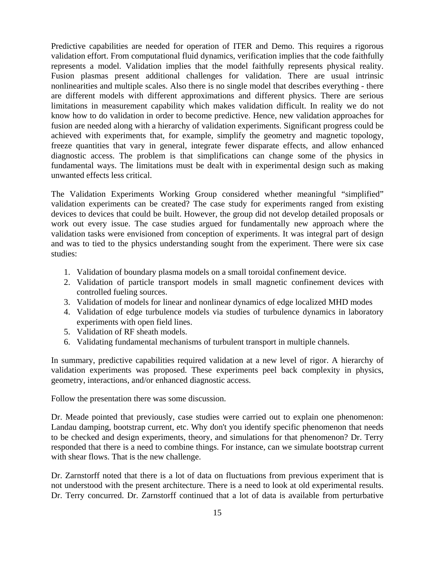Predictive capabilities are needed for operation of ITER and Demo. This requires a rigorous validation effort. From computational fluid dynamics, verification implies that the code faithfully represents a model. Validation implies that the model faithfully represents physical reality. Fusion plasmas present additional challenges for validation. There are usual intrinsic nonlinearities and multiple scales. Also there is no single model that describes everything - there are different models with different approximations and different physics. There are serious limitations in measurement capability which makes validation difficult. In reality we do not know how to do validation in order to become predictive. Hence, new validation approaches for fusion are needed along with a hierarchy of validation experiments. Significant progress could be achieved with experiments that, for example, simplify the geometry and magnetic topology, freeze quantities that vary in general, integrate fewer disparate effects, and allow enhanced diagnostic access. The problem is that simplifications can change some of the physics in fundamental ways. The limitations must be dealt with in experimental design such as making unwanted effects less critical.

The Validation Experiments Working Group considered whether meaningful "simplified" validation experiments can be created? The case study for experiments ranged from existing devices to devices that could be built. However, the group did not develop detailed proposals or work out every issue. The case studies argued for fundamentally new approach where the validation tasks were envisioned from conception of experiments. It was integral part of design and was to tied to the physics understanding sought from the experiment. There were six case studies:

- 1. Validation of boundary plasma models on a small toroidal confinement device.
- 2. Validation of particle transport models in small magnetic confinement devices with controlled fueling sources.
- 3. Validation of models for linear and nonlinear dynamics of edge localized MHD modes
- 4. Validation of edge turbulence models via studies of turbulence dynamics in laboratory experiments with open field lines.
- 5. Validation of RF sheath models.
- 6. Validating fundamental mechanisms of turbulent transport in multiple channels.

In summary, predictive capabilities required validation at a new level of rigor. A hierarchy of validation experiments was proposed. These experiments peel back complexity in physics, geometry, interactions, and/or enhanced diagnostic access.

Follow the presentation there was some discussion.

Dr. Meade pointed that previously, case studies were carried out to explain one phenomenon: Landau damping, bootstrap current, etc. Why don't you identify specific phenomenon that needs to be checked and design experiments, theory, and simulations for that phenomenon? Dr. Terry responded that there is a need to combine things. For instance, can we simulate bootstrap current with shear flows. That is the new challenge.

Dr. Zarnstorff noted that there is a lot of data on fluctuations from previous experiment that is not understood with the present architecture. There is a need to look at old experimental results. Dr. Terry concurred. Dr. Zarnstorff continued that a lot of data is available from perturbative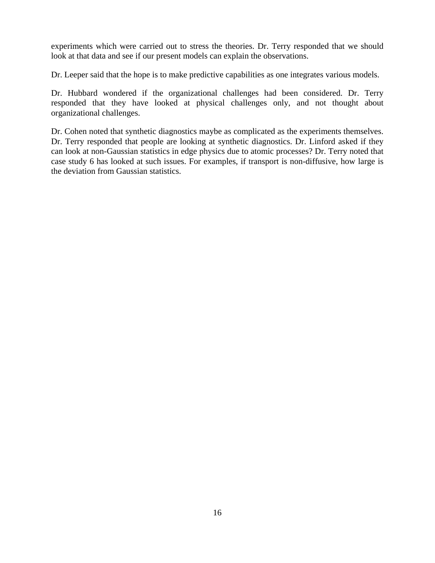experiments which were carried out to stress the theories. Dr. Terry responded that we should look at that data and see if our present models can explain the observations.

Dr. Leeper said that the hope is to make predictive capabilities as one integrates various models.

Dr. Hubbard wondered if the organizational challenges had been considered. Dr. Terry responded that they have looked at physical challenges only, and not thought about organizational challenges.

Dr. Cohen noted that synthetic diagnostics maybe as complicated as the experiments themselves. Dr. Terry responded that people are looking at synthetic diagnostics. Dr. Linford asked if they can look at non-Gaussian statistics in edge physics due to atomic processes? Dr. Terry noted that case study 6 has looked at such issues. For examples, if transport is non-diffusive, how large is the deviation from Gaussian statistics.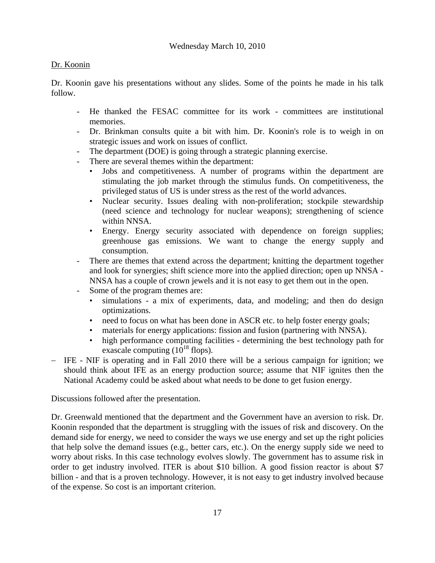# Dr. Koonin

Dr. Koonin gave his presentations without any slides. Some of the points he made in his talk follow.

- He thanked the FESAC committee for its work committees are institutional memories.
- Dr. Brinkman consults quite a bit with him. Dr. Koonin's role is to weigh in on strategic issues and work on issues of conflict.
- The department (DOE) is going through a strategic planning exercise.
- There are several themes within the department:
	- Jobs and competitiveness. A number of programs within the department are stimulating the job market through the stimulus funds. On competitiveness, the privileged status of US is under stress as the rest of the world advances.
	- Nuclear security. Issues dealing with non-proliferation; stockpile stewardship (need science and technology for nuclear weapons); strengthening of science within NNSA.
	- Energy. Energy security associated with dependence on foreign supplies; greenhouse gas emissions. We want to change the energy supply and consumption.
- There are themes that extend across the department; knitting the department together and look for synergies; shift science more into the applied direction; open up NNSA - NNSA has a couple of crown jewels and it is not easy to get them out in the open.
- Some of the program themes are:
	- simulations a mix of experiments, data, and modeling; and then do design optimizations.
	- need to focus on what has been done in ASCR etc. to help foster energy goals;
	- materials for energy applications: fission and fusion (partnering with NNSA).
	- high performance computing facilities determining the best technology path for exascale computing  $(10^{18}$  flops).
- − IFE NIF is operating and in Fall 2010 there will be a serious campaign for ignition; we should think about IFE as an energy production source; assume that NIF ignites then the National Academy could be asked about what needs to be done to get fusion energy.

Discussions followed after the presentation.

Dr. Greenwald mentioned that the department and the Government have an aversion to risk. Dr. Koonin responded that the department is struggling with the issues of risk and discovery. On the demand side for energy, we need to consider the ways we use energy and set up the right policies that help solve the demand issues (e.g., better cars, etc.). On the energy supply side we need to worry about risks. In this case technology evolves slowly. The government has to assume risk in order to get industry involved. ITER is about \$10 billion. A good fission reactor is about \$7 billion - and that is a proven technology. However, it is not easy to get industry involved because of the expense. So cost is an important criterion.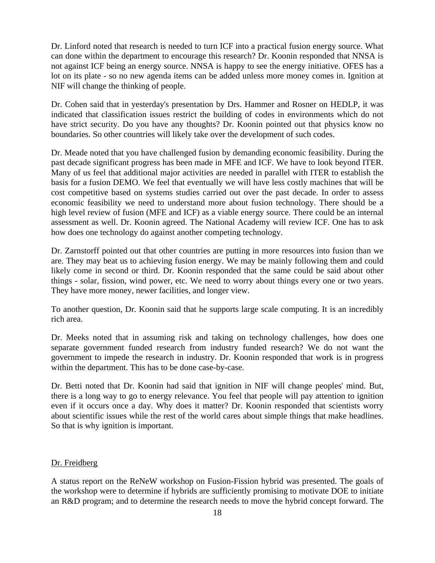Dr. Linford noted that research is needed to turn ICF into a practical fusion energy source. What can done within the department to encourage this research? Dr. Koonin responded that NNSA is not against ICF being an energy source. NNSA is happy to see the energy initiative. OFES has a lot on its plate - so no new agenda items can be added unless more money comes in. Ignition at NIF will change the thinking of people.

Dr. Cohen said that in yesterday's presentation by Drs. Hammer and Rosner on HEDLP, it was indicated that classification issues restrict the building of codes in environments which do not have strict security. Do you have any thoughts? Dr. Koonin pointed out that physics know no boundaries. So other countries will likely take over the development of such codes.

Dr. Meade noted that you have challenged fusion by demanding economic feasibility. During the past decade significant progress has been made in MFE and ICF. We have to look beyond ITER. Many of us feel that additional major activities are needed in parallel with ITER to establish the basis for a fusion DEMO. We feel that eventually we will have less costly machines that will be cost competitive based on systems studies carried out over the past decade. In order to assess economic feasibility we need to understand more about fusion technology. There should be a high level review of fusion (MFE and ICF) as a viable energy source. There could be an internal assessment as well. Dr. Koonin agreed. The National Academy will review ICF. One has to ask how does one technology do against another competing technology.

Dr. Zarnstorff pointed out that other countries are putting in more resources into fusion than we are. They may beat us to achieving fusion energy. We may be mainly following them and could likely come in second or third. Dr. Koonin responded that the same could be said about other things - solar, fission, wind power, etc. We need to worry about things every one or two years. They have more money, newer facilities, and longer view.

To another question, Dr. Koonin said that he supports large scale computing. It is an incredibly rich area.

Dr. Meeks noted that in assuming risk and taking on technology challenges, how does one separate government funded research from industry funded research? We do not want the government to impede the research in industry. Dr. Koonin responded that work is in progress within the department. This has to be done case-by-case.

Dr. Betti noted that Dr. Koonin had said that ignition in NIF will change peoples' mind. But, there is a long way to go to energy relevance. You feel that people will pay attention to ignition even if it occurs once a day. Why does it matter? Dr. Koonin responded that scientists worry about scientific issues while the rest of the world cares about simple things that make headlines. So that is why ignition is important.

#### Dr. Freidberg

A status report on the ReNeW workshop on Fusion-Fission hybrid was presented. The goals of the workshop were to determine if hybrids are sufficiently promising to motivate DOE to initiate an R&D program; and to determine the research needs to move the hybrid concept forward. The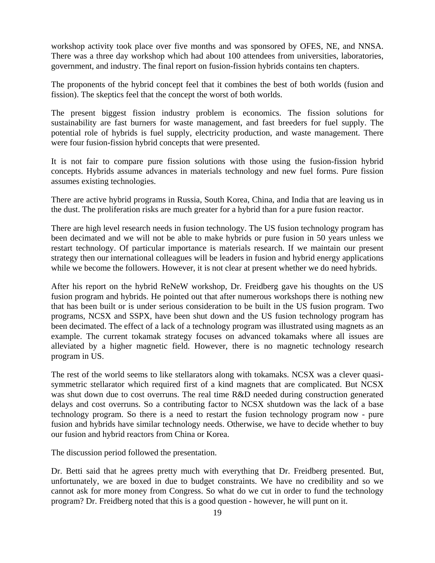workshop activity took place over five months and was sponsored by OFES, NE, and NNSA. There was a three day workshop which had about 100 attendees from universities, laboratories, government, and industry. The final report on fusion-fission hybrids contains ten chapters.

The proponents of the hybrid concept feel that it combines the best of both worlds (fusion and fission). The skeptics feel that the concept the worst of both worlds.

The present biggest fission industry problem is economics. The fission solutions for sustainability are fast burners for waste management, and fast breeders for fuel supply. The potential role of hybrids is fuel supply, electricity production, and waste management. There were four fusion-fission hybrid concepts that were presented.

It is not fair to compare pure fission solutions with those using the fusion-fission hybrid concepts. Hybrids assume advances in materials technology and new fuel forms. Pure fission assumes existing technologies.

There are active hybrid programs in Russia, South Korea, China, and India that are leaving us in the dust. The proliferation risks are much greater for a hybrid than for a pure fusion reactor.

There are high level research needs in fusion technology. The US fusion technology program has been decimated and we will not be able to make hybrids or pure fusion in 50 years unless we restart technology. Of particular importance is materials research. If we maintain our present strategy then our international colleagues will be leaders in fusion and hybrid energy applications while we become the followers. However, it is not clear at present whether we do need hybrids.

After his report on the hybrid ReNeW workshop, Dr. Freidberg gave his thoughts on the US fusion program and hybrids. He pointed out that after numerous workshops there is nothing new that has been built or is under serious consideration to be built in the US fusion program. Two programs, NCSX and SSPX, have been shut down and the US fusion technology program has been decimated. The effect of a lack of a technology program was illustrated using magnets as an example. The current tokamak strategy focuses on advanced tokamaks where all issues are alleviated by a higher magnetic field. However, there is no magnetic technology research program in US.

The rest of the world seems to like stellarators along with tokamaks. NCSX was a clever quasisymmetric stellarator which required first of a kind magnets that are complicated. But NCSX was shut down due to cost overruns. The real time R&D needed during construction generated delays and cost overruns. So a contributing factor to NCSX shutdown was the lack of a base technology program. So there is a need to restart the fusion technology program now - pure fusion and hybrids have similar technology needs. Otherwise, we have to decide whether to buy our fusion and hybrid reactors from China or Korea.

The discussion period followed the presentation.

Dr. Betti said that he agrees pretty much with everything that Dr. Freidberg presented. But, unfortunately, we are boxed in due to budget constraints. We have no credibility and so we cannot ask for more money from Congress. So what do we cut in order to fund the technology program? Dr. Freidberg noted that this is a good question - however, he will punt on it.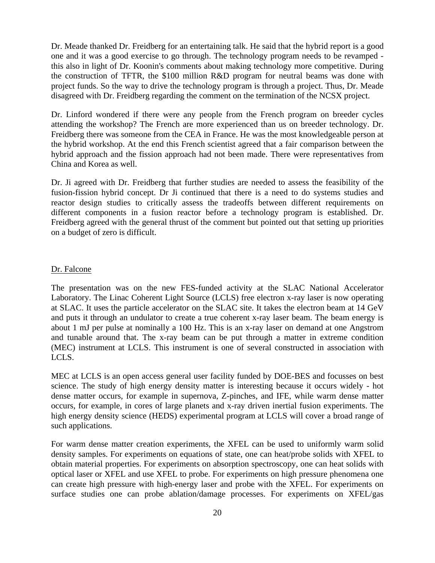Dr. Meade thanked Dr. Freidberg for an entertaining talk. He said that the hybrid report is a good one and it was a good exercise to go through. The technology program needs to be revamped this also in light of Dr. Koonin's comments about making technology more competitive. During the construction of TFTR, the \$100 million R&D program for neutral beams was done with project funds. So the way to drive the technology program is through a project. Thus, Dr. Meade disagreed with Dr. Freidberg regarding the comment on the termination of the NCSX project.

Dr. Linford wondered if there were any people from the French program on breeder cycles attending the workshop? The French are more experienced than us on breeder technology. Dr. Freidberg there was someone from the CEA in France. He was the most knowledgeable person at the hybrid workshop. At the end this French scientist agreed that a fair comparison between the hybrid approach and the fission approach had not been made. There were representatives from China and Korea as well.

Dr. Ji agreed with Dr. Freidberg that further studies are needed to assess the feasibility of the fusion-fission hybrid concept. Dr Ji continued that there is a need to do systems studies and reactor design studies to critically assess the tradeoffs between different requirements on different components in a fusion reactor before a technology program is established. Dr. Freidberg agreed with the general thrust of the comment but pointed out that setting up priorities on a budget of zero is difficult.

#### Dr. Falcone

The presentation was on the new FES-funded activity at the SLAC National Accelerator Laboratory. The Linac Coherent Light Source (LCLS) free electron x-ray laser is now operating at SLAC. It uses the particle accelerator on the SLAC site. It takes the electron beam at 14 GeV and puts it through an undulator to create a true coherent x-ray laser beam. The beam energy is about 1 mJ per pulse at nominally a 100 Hz. This is an x-ray laser on demand at one Angstrom and tunable around that. The x-ray beam can be put through a matter in extreme condition (MEC) instrument at LCLS. This instrument is one of several constructed in association with LCLS.

MEC at LCLS is an open access general user facility funded by DOE-BES and focusses on best science. The study of high energy density matter is interesting because it occurs widely - hot dense matter occurs, for example in supernova, Z-pinches, and IFE, while warm dense matter occurs, for example, in cores of large planets and x-ray driven inertial fusion experiments. The high energy density science (HEDS) experimental program at LCLS will cover a broad range of such applications.

For warm dense matter creation experiments, the XFEL can be used to uniformly warm solid density samples. For experiments on equations of state, one can heat/probe solids with XFEL to obtain material properties. For experiments on absorption spectroscopy, one can heat solids with optical laser or XFEL and use XFEL to probe. For experiments on high pressure phenomena one can create high pressure with high-energy laser and probe with the XFEL. For experiments on surface studies one can probe ablation/damage processes. For experiments on XFEL/gas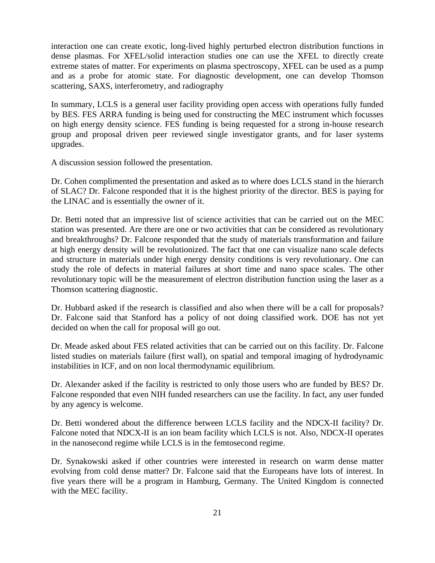interaction one can create exotic, long-lived highly perturbed electron distribution functions in dense plasmas. For XFEL/solid interaction studies one can use the XFEL to directly create extreme states of matter. For experiments on plasma spectroscopy, XFEL can be used as a pump and as a probe for atomic state. For diagnostic development, one can develop Thomson scattering, SAXS, interferometry, and radiography

In summary, LCLS is a general user facility providing open access with operations fully funded by BES. FES ARRA funding is being used for constructing the MEC instrument which focusses on high energy density science. FES funding is being requested for a strong in-house research group and proposal driven peer reviewed single investigator grants, and for laser systems upgrades.

A discussion session followed the presentation.

Dr. Cohen complimented the presentation and asked as to where does LCLS stand in the hierarch of SLAC? Dr. Falcone responded that it is the highest priority of the director. BES is paying for the LINAC and is essentially the owner of it.

Dr. Betti noted that an impressive list of science activities that can be carried out on the MEC station was presented. Are there are one or two activities that can be considered as revolutionary and breakthroughs? Dr. Falcone responded that the study of materials transformation and failure at high energy density will be revolutionized. The fact that one can visualize nano scale defects and structure in materials under high energy density conditions is very revolutionary. One can study the role of defects in material failures at short time and nano space scales. The other revolutionary topic will be the measurement of electron distribution function using the laser as a Thomson scattering diagnostic.

Dr. Hubbard asked if the research is classified and also when there will be a call for proposals? Dr. Falcone said that Stanford has a policy of not doing classified work. DOE has not yet decided on when the call for proposal will go out.

Dr. Meade asked about FES related activities that can be carried out on this facility. Dr. Falcone listed studies on materials failure (first wall), on spatial and temporal imaging of hydrodynamic instabilities in ICF, and on non local thermodynamic equilibrium.

Dr. Alexander asked if the facility is restricted to only those users who are funded by BES? Dr. Falcone responded that even NIH funded researchers can use the facility. In fact, any user funded by any agency is welcome.

Dr. Betti wondered about the difference between LCLS facility and the NDCX-II facility? Dr. Falcone noted that NDCX-II is an ion beam facility which LCLS is not. Also, NDCX-II operates in the nanosecond regime while LCLS is in the femtosecond regime.

Dr. Synakowski asked if other countries were interested in research on warm dense matter evolving from cold dense matter? Dr. Falcone said that the Europeans have lots of interest. In five years there will be a program in Hamburg, Germany. The United Kingdom is connected with the MEC facility.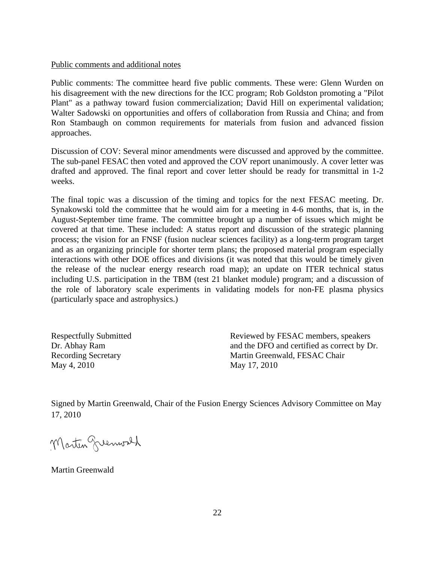#### Public comments and additional notes

Public comments: The committee heard five public comments. These were: Glenn Wurden on his disagreement with the new directions for the ICC program; Rob Goldston promoting a "Pilot Plant" as a pathway toward fusion commercialization; David Hill on experimental validation; Walter Sadowski on opportunities and offers of collaboration from Russia and China; and from Ron Stambaugh on common requirements for materials from fusion and advanced fission approaches.

Discussion of COV: Several minor amendments were discussed and approved by the committee. The sub-panel FESAC then voted and approved the COV report unanimously. A cover letter was drafted and approved. The final report and cover letter should be ready for transmittal in 1-2 weeks.

The final topic was a discussion of the timing and topics for the next FESAC meeting. Dr. Synakowski told the committee that he would aim for a meeting in 4-6 months, that is, in the August-September time frame. The committee brought up a number of issues which might be covered at that time. These included: A status report and discussion of the strategic planning process; the vision for an FNSF (fusion nuclear sciences facility) as a long-term program target and as an organizing principle for shorter term plans; the proposed material program especially interactions with other DOE offices and divisions (it was noted that this would be timely given the release of the nuclear energy research road map); an update on ITER technical status including U.S. participation in the TBM (test 21 blanket module) program; and a discussion of the role of laboratory scale experiments in validating models for non-FE plasma physics (particularly space and astrophysics.)

Dr. Abhay Ram Recording Secretary May 4, 2010 May 17, 2010

Respectfully Submitted Reviewed by FESAC members, speakers and the DFO and certified as correct by Dr. Martin Greenwald, FESAC Chair

Signed by Martin Greenwald, Chair of the Fusion Energy Sciences Advisory Committee on May 17, 2010

Martin greenwach

Martin Greenwald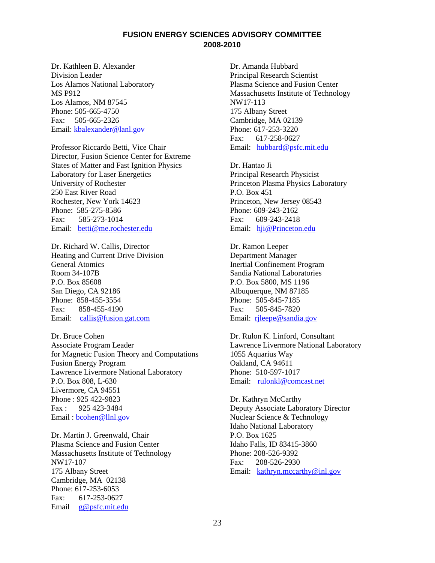## **FUSION ENERGY SCIENCES ADVISORY COMMITTEE 2008-2010**

Dr. Kathleen B. Alexander Division Leader Los Alamos National Laboratory MS P912 Los Alamos, NM 87545 Phone: 505-665-4750 Fax: 505-665-2326 Email: kbalexander@lanl.gov

Professor Riccardo Betti, Vice Chair Director, Fusion Science Center for Extreme States of Matter and Fast Ignition Physics Laboratory for Laser Energetics University of Rochester 250 East River Road Rochester, New York 14623 Phone: 585-275-8586 Fax: 585-273-1014 Email: [betti@me.rochester.edu](mailto:betti@me.rochester.edu)

Dr. Richard W. Callis, Director Heating and Current Drive Division General Atomics Room 34-107B P.O. Box 85608 San Diego, CA 92186 Phone: 858-455-3554 Fax: 858-455-4190 Email: [callis@fusion.gat.com](mailto:callis@fusion.gat.com)

Dr. Bruce Cohen Associate Program Leader for Magnetic Fusion Theory and Computations Fusion Energy Program Lawrence Livermore National Laboratory P.O. Box 808, L-630 Livermore, CA 94551 Phone : 925 422-9823 Fax : 925 423-3484 Email : [bcohen@llnl.gov](mailto:bcohen@llnl.gov)

Dr. Martin J. Greenwald, Chair Plasma Science and Fusion Center Massachusetts Institute of Technology NW17-107 175 Albany Street Cambridge, MA 02138 Phone: 617-253-6053 Fax: 617-253-0627 Email [g@psfc.mit.edu](mailto:g@psfc.mit.edu)

Dr. Amanda Hubbard Principal Research Scientist Plasma Science and Fusion Center Massachusetts Institute of Technology NW17-113 175 Albany Street Cambridge, MA 02139 Phone: 617-253-3220 Fax:617-258-0627 Email: [hubbard@psfc.mit.edu](mailto:hubbard@psfc.mit.edu)

Dr. Hantao Ji Principal Research Physicist Princeton Plasma Physics Laboratory P.O. Box 451 Princeton, New Jersey 08543 Phone: 609-243-2162 Fax:609-243-2418 Email: [hji@Princeton.edu](mailto:hji@Princeton.edu)

Dr. Ramon Leeper Department Manager Inertial Confinement Program Sandia National Laboratories P.O. Box 5800, MS 1196 Albuquerque, NM 87185 Phone: 505-845-7185 Fax: 505-845-7820 Email: [rjleepe@sandia.gov](mailto:rjleepe@sandia.gov)

Dr. Rulon K. Linford, Consultant Lawrence Livermore National Laboratory 1055 Aquarius Way Oakland, CA 94611 Phone: 510-597-1017 Email: [rulonkl@comcast.net](mailto:rulonkl@comcast.net)

Dr. Kathryn McCarthy Deputy Associate Laboratory Director Nuclear Science & Technology Idaho National Laboratory P.O. Box 1625 Idaho Falls, ID 83415-3860 Phone: 208-526-9392 Fax: 208-526-2930 Email: [kathryn.mccarthy@inl.gov](mailto:kathryn.mccarthy@inl.gov)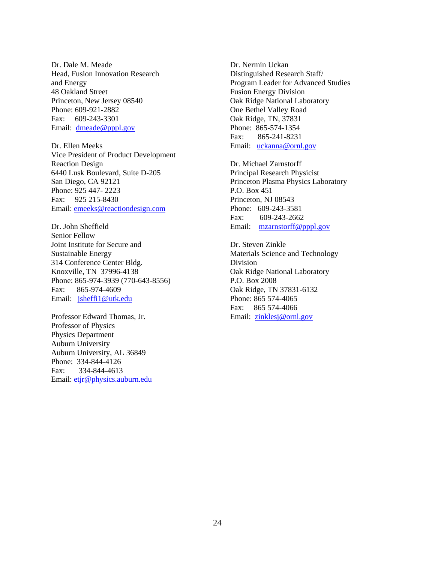Dr. Dale M. Meade Head, Fusion Innovation Research and Energy 48 Oakland Street Princeton, New Jersey 08540 Phone: 609-921-2882 Fax:609-243-3301 Email: [dmeade@pppl.gov](mailto:dmeade@pppl.gov)

Dr. Ellen Meeks Vice President of Product Development Reaction Design 6440 Lusk Boulevard, Suite D-205 San Diego, CA 92121 Phone: 925 447- 2223 Fax: 925 215-8430 Email: emeeks@reactiondesign.com

Dr. John Sheffield Senior Fellow Joint Institute for Secure and Sustainable Energy 314 Conference Center Bldg. Knoxville, TN 37996-4138 Phone: 865-974-3939 (770-643-8556) Fax: 865-974-4609 Email: [jsheffi1@utk.edu](mailto:jsheffi1@utk.edu)

Professor Edward Thomas, Jr. Professor of Physics Physics Department Auburn University Auburn University, AL 36849 Phone: 334-844-4126 Fax: 334-844-4613 Email: [etjr@physics.auburn.edu](mailto:etjr@physics.auburn.edu)

Dr. Nermin Uckan Distinguished Research Staff/ Program Leader for Advanced Studies Fusion Energy Division Oak Ridge National Laboratory One Bethel Valley Road Oak Ridge, TN, 37831 Phone: 865-574-1354 Fax:865-241-8231 Email: [uckanna@ornl.gov](mailto:uckanna@ornl.gov)

Dr. Michael Zarnstorff Principal Research Physicist Princeton Plasma Physics Laboratory P.O. Box 451 Princeton, NJ 08543 Phone: 609-243-3581 Fax: 609-243-2662 Email: [mzarnstorff@pppl.gov](mailto:mzarnstorff@pppl.gov)

Dr. Steven Zinkle Materials Science and Technology Division Oak Ridge National Laboratory P.O. Box 2008 Oak Ridge, TN 37831-6132 Phone: 865 574-4065 Fax: 865 574-4066 Email: zinklesj@ornl.gov